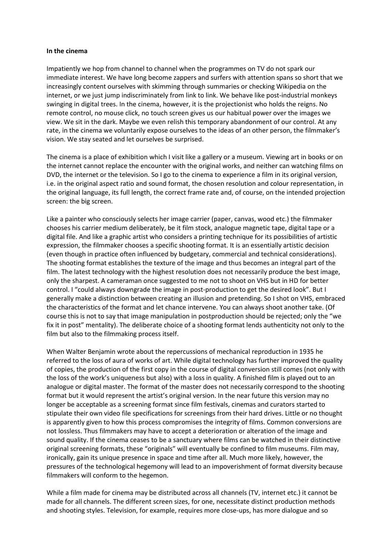## **In the cinema**

Impatiently we hop from channel to channel when the programmes on TV do not spark our immediate interest. We have long become zappers and surfers with attention spans so short that we increasingly content ourselves with skimming through summaries or checking Wikipedia on the internet, or we just jump indiscriminately from link to link. We behave like post-industrial monkeys swinging in digital trees. In the cinema, however, it is the projectionist who holds the reigns. No remote control, no mouse click, no touch screen gives us our habitual power over the images we view. We sit in the dark. Maybe we even relish this temporary abandonment of our control. At any rate, in the cinema we voluntarily expose ourselves to the ideas of an other person, the filmmaker's vision. We stay seated and let ourselves be surprised.

The cinema is a place of exhibition which I visit like a gallery or a museum. Viewing art in books or on the internet cannot replace the encounter with the original works, and neither can watching films on DVD, the internet or the television. So I go to the cinema to experience a film in its original version, i.e. in the original aspect ratio and sound format, the chosen resolution and colour representation, in the original language, its full length, the correct frame rate and, of course, on the intended projection screen: the big screen.

Like a painter who consciously selects her image carrier (paper, canvas, wood etc.) the filmmaker chooses his carrier medium deliberately, be it film stock, analogue magnetic tape, digital tape or a digital file. And like a graphic artist who considers a printing technique for its possibilities of artistic expression, the filmmaker chooses a specific shooting format. It is an essentially artistic decision (even though in practice often influenced by budgetary, commercial and technical considerations). The shooting format establishes the texture of the image and thus becomes an integral part of the film. The latest technology with the highest resolution does not necessarily produce the best image, only the sharpest. A cameraman once suggested to me not to shoot on VHS but in HD for better control. I "could always downgrade the image in post-production to get the desired look". But I generally make a distinction between creating an illusion and pretending. So I shot on VHS, embraced the characteristics of the format and let chance intervene. You can always shoot another take. (Of course this is not to say that image manipulation in postproduction should be rejected; only the "we fix it in post" mentality). The deliberate choice of a shooting format lends authenticity not only to the film but also to the filmmaking process itself.

When Walter Benjamin wrote about the repercussions of mechanical reproduction in 1935 he referred to the loss of aura of works of art. While digital technology has further improved the quality of copies, the production of the first copy in the course of digital conversion still comes (not only with the loss of the work's uniqueness but also) with a loss in quality. A finished film is played out to an analogue or digital master. The format of the master does not necessarily correspond to the shooting format but it would represent the artist's original version. In the near future this version may no longer be acceptable as a screening format since film festivals, cinemas and curators started to stipulate their own video file specifications for screenings from their hard drives. Little or no thought is apparently given to how this process compromises the integrity of films. Common conversions are not lossless. Thus filmmakers may have to accept a deterioration or alteration of the image and sound quality. If the cinema ceases to be a sanctuary where films can be watched in their distinctive original screening formats, these "originals" will eventually be confined to film museums. Film may, ironically, gain its unique presence in space and time after all. Much more likely, however, the pressures of the technological hegemony will lead to an impoverishment of format diversity because filmmakers will conform to the hegemon.

While a film made for cinema may be distributed across all channels (TV, internet etc.) it cannot be made for all channels. The different screen sizes, for one, necessitate distinct production methods and shooting styles. Television, for example, requires more close-ups, has more dialogue and so